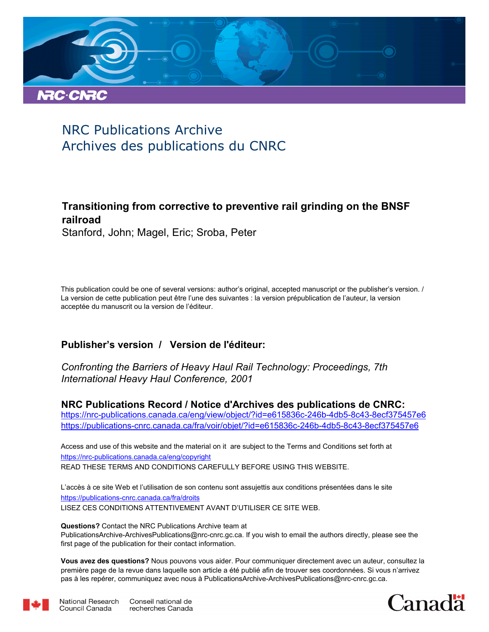

# NRC Publications Archive Archives des publications du CNRC

# **Transitioning from corrective to preventive rail grinding on the BNSF railroad**

Stanford, John; Magel, Eric; Sroba, Peter

This publication could be one of several versions: author's original, accepted manuscript or the publisher's version. / La version de cette publication peut être l'une des suivantes : la version prépublication de l'auteur, la version acceptée du manuscrit ou la version de l'éditeur.

# **Publisher's version / Version de l'éditeur:**

*Confronting the Barriers of Heavy Haul Rail Technology: Proceedings, 7th International Heavy Haul Conference, 2001*

**NRC Publications Record / Notice d'Archives des publications de CNRC:** https://nrc-publications.canada.ca/eng/view/object/?id=e615836c-246b-4db5-8c43-8ecf375457e6

https://publications-cnrc.canada.ca/fra/voir/objet/?id=e615836c-246b-4db5-8c43-8ecf375457e6

READ THESE TERMS AND CONDITIONS CAREFULLY BEFORE USING THIS WEBSITE. https://nrc-publications.canada.ca/eng/copyright Access and use of this website and the material on it are subject to the Terms and Conditions set forth at

https://publications-cnrc.canada.ca/fra/droits L'accès à ce site Web et l'utilisation de son contenu sont assujettis aux conditions présentées dans le site LISEZ CES CONDITIONS ATTENTIVEMENT AVANT D'UTILISER CE SITE WEB.

**Questions?** Contact the NRC Publications Archive team at PublicationsArchive-ArchivesPublications@nrc-cnrc.gc.ca. If you wish to email the authors directly, please see the first page of the publication for their contact information.

**Vous avez des questions?** Nous pouvons vous aider. Pour communiquer directement avec un auteur, consultez la première page de la revue dans laquelle son article a été publié afin de trouver ses coordonnées. Si vous n'arrivez pas à les repérer, communiquez avec nous à PublicationsArchive-ArchivesPublications@nrc-cnrc.gc.ca.



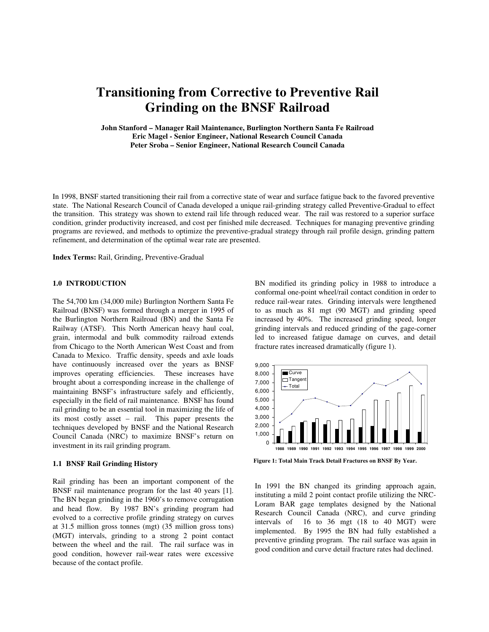# **Transitioning from Corrective to Preventive Rail Grinding on the BNSF Railroad**

**John Stanford – Manager Rail Maintenance, Burlington Northern Santa Fe Railroad Eric Magel - Senior Engineer, National Research Council Canada Peter Sroba – Senior Engineer, National Research Council Canada** 

In 1998, BNSF started transitioning their rail from a corrective state of wear and surface fatigue back to the favored preventive state. The National Research Council of Canada developed a unique rail-grinding strategy called Preventive-Gradual to effect the transition. This strategy was shown to extend rail life through reduced wear. The rail was restored to a superior surface condition, grinder productivity increased, and cost per finished mile decreased. Techniques for managing preventive grinding programs are reviewed, and methods to optimize the preventive-gradual strategy through rail profile design, grinding pattern refinement, and determination of the optimal wear rate are presented.

**Index Terms:** Rail, Grinding, Preventive-Gradual

## **1.0 INTRODUCTION**

The 54,700 km (34,000 mile) Burlington Northern Santa Fe Railroad (BNSF) was formed through a merger in 1995 of the Burlington Northern Railroad (BN) and the Santa Fe Railway (ATSF). This North American heavy haul coal, grain, intermodal and bulk commodity railroad extends from Chicago to the North American West Coast and from Canada to Mexico. Traffic density, speeds and axle loads have continuously increased over the years as BNSF improves operating efficiencies. These increases have brought about a corresponding increase in the challenge of maintaining BNSF's infrastructure safely and efficiently, especially in the field of rail maintenance. BNSF has found rail grinding to be an essential tool in maximizing the life of its most costly asset – rail. This paper presents the techniques developed by BNSF and the National Research Council Canada (NRC) to maximize BNSF's return on investment in its rail grinding program.

#### **1.1 BNSF Rail Grinding History**

Rail grinding has been an important component of the BNSF rail maintenance program for the last 40 years [1]. The BN began grinding in the 1960's to remove corrugation and head flow. By 1987 BN's grinding program had evolved to a corrective profile grinding strategy on curves at 31.5 million gross tonnes (mgt) (35 million gross tons) (MGT) intervals, grinding to a strong 2 point contact between the wheel and the rail. The rail surface was in good condition, however rail-wear rates were excessive because of the contact profile.

BN modified its grinding policy in 1988 to introduce a conformal one-point wheel/rail contact condition in order to reduce rail-wear rates. Grinding intervals were lengthened to as much as 81 mgt (90 MGT) and grinding speed increased by 40%. The increased grinding speed, longer grinding intervals and reduced grinding of the gage-corner led to increased fatigue damage on curves, and detail fracture rates increased dramatically (figure 1).



**Figure 1: Total Main Track Detail Fractures on BNSF By Year.** 

In 1991 the BN changed its grinding approach again, instituting a mild 2 point contact profile utilizing the NRC-Loram BAR gage templates designed by the National Research Council Canada (NRC), and curve grinding intervals of 16 to 36 mgt (18 to 40 MGT) were implemented. By 1995 the BN had fully established a preventive grinding program. The rail surface was again in good condition and curve detail fracture rates had declined.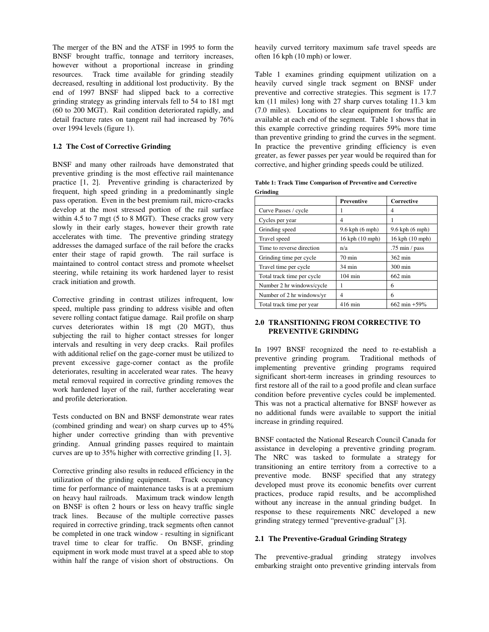The merger of the BN and the ATSF in 1995 to form the BNSF brought traffic, tonnage and territory increases, however without a proportional increase in grinding resources. Track time available for grinding steadily decreased, resulting in additional lost productivity. By the end of 1997 BNSF had slipped back to a corrective grinding strategy as grinding intervals fell to 54 to 181 mgt (60 to 200 MGT). Rail condition deteriorated rapidly, and detail fracture rates on tangent rail had increased by 76% over 1994 levels (figure 1).

# **1.2 The Cost of Corrective Grinding**

BNSF and many other railroads have demonstrated that preventive grinding is the most effective rail maintenance practice [1, 2]. Preventive grinding is characterized by frequent, high speed grinding in a predominantly single pass operation. Even in the best premium rail, micro-cracks develop at the most stressed portion of the rail surface within 4.5 to 7 mgt (5 to 8 MGT). These cracks grow very slowly in their early stages, however their growth rate accelerates with time. The preventive grinding strategy addresses the damaged surface of the rail before the cracks enter their stage of rapid growth. The rail surface is maintained to control contact stress and promote wheelset steering, while retaining its work hardened layer to resist crack initiation and growth.

Corrective grinding in contrast utilizes infrequent, low speed, multiple pass grinding to address visible and often severe rolling contact fatigue damage. Rail profile on sharp curves deteriorates within 18 mgt (20 MGT), thus subjecting the rail to higher contact stresses for longer intervals and resulting in very deep cracks. Rail profiles with additional relief on the gage-corner must be utilized to prevent excessive gage-corner contact as the profile deteriorates, resulting in accelerated wear rates. The heavy metal removal required in corrective grinding removes the work hardened layer of the rail, further accelerating wear and profile deterioration.

Tests conducted on BN and BNSF demonstrate wear rates (combined grinding and wear) on sharp curves up to 45% higher under corrective grinding than with preventive grinding. Annual grinding passes required to maintain curves are up to 35% higher with corrective grinding [1, 3].

Corrective grinding also results in reduced efficiency in the utilization of the grinding equipment. Track occupancy time for performance of maintenance tasks is at a premium on heavy haul railroads. Maximum track window length on BNSF is often 2 hours or less on heavy traffic single track lines. Because of the multiple corrective passes required in corrective grinding, track segments often cannot be completed in one track window - resulting in significant travel time to clear for traffic. On BNSF, grinding equipment in work mode must travel at a speed able to stop within half the range of vision short of obstructions. On heavily curved territory maximum safe travel speeds are often 16 kph (10 mph) or lower.

Table 1 examines grinding equipment utilization on a heavily curved single track segment on BNSF under preventive and corrective strategies. This segment is 17.7 km (11 miles) long with 27 sharp curves totaling 11.3 km (7.0 miles). Locations to clear equipment for traffic are available at each end of the segment. Table 1 shows that in this example corrective grinding requires 59% more time than preventive grinding to grind the curves in the segment. In practice the preventive grinding efficiency is even greater, as fewer passes per year would be required than for corrective, and higher grinding speeds could be utilized.

| Table 1: Track Time Comparison of Preventive and Corrective |  |
|-------------------------------------------------------------|--|
| Grinding                                                    |  |

|                            | Preventive             | Corrective             |
|----------------------------|------------------------|------------------------|
| Curve Passes / cycle       |                        | 4                      |
| Cycles per year            | 4                      |                        |
| Grinding speed             | $9.6$ kph $(6$ mph $)$ | $9.6$ kph $(6$ mph $)$ |
| Travel speed               | 16 kph (10 mph)        | 16 kph (10 mph)        |
| Time to reverse direction  | n/a                    | .75 min / $pass$       |
| Grinding time per cycle    | $70 \text{ min}$       | 362 min                |
| Travel time per cycle      | 34 min                 | 300 min                |
| Total track time per cycle | $104 \text{ min}$      | 662 min                |
| Number 2 hr windows/cycle  |                        | 6                      |
| Number of 2 hr windows/yr  | 4                      | 6                      |
| Total track time per year  | $416$ min              | 662 min +59%           |

# **2.0 TRANSITIONING FROM CORRECTIVE TO PREVENTIVE GRINDING**

In 1997 BNSF recognized the need to re-establish a preventive grinding program. Traditional methods of implementing preventive grinding programs required significant short-term increases in grinding resources to first restore all of the rail to a good profile and clean surface condition before preventive cycles could be implemented. This was not a practical alternative for BNSF however as no additional funds were available to support the initial increase in grinding required.

BNSF contacted the National Research Council Canada for assistance in developing a preventive grinding program. The NRC was tasked to formulate a strategy for transitioning an entire territory from a corrective to a preventive mode. BNSF specified that any strategy developed must prove its economic benefits over current practices, produce rapid results, and be accomplished without any increase in the annual grinding budget. In response to these requirements NRC developed a new grinding strategy termed "preventive-gradual" [3].

# **2.1 The Preventive-Gradual Grinding Strategy**

The preventive-gradual grinding strategy involves embarking straight onto preventive grinding intervals from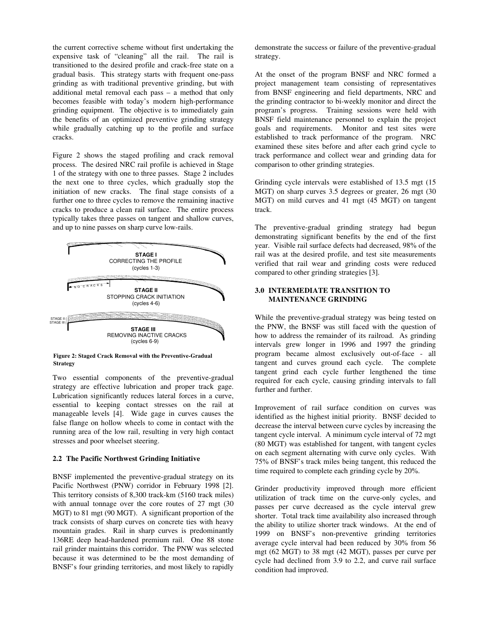the current corrective scheme without first undertaking the expensive task of "cleaning" all the rail. The rail is transitioned to the desired profile and crack-free state on a gradual basis. This strategy starts with frequent one-pass grinding as with traditional preventive grinding, but with additional metal removal each pass – a method that only becomes feasible with today's modern high-performance grinding equipment. The objective is to immediately gain the benefits of an optimized preventive grinding strategy while gradually catching up to the profile and surface cracks.

Figure 2 shows the staged profiling and crack removal process. The desired NRC rail profile is achieved in Stage 1 of the strategy with one to three passes. Stage 2 includes the next one to three cycles, which gradually stop the initiation of new cracks. The final stage consists of a further one to three cycles to remove the remaining inactive cracks to produce a clean rail surface. The entire process typically takes three passes on tangent and shallow curves, and up to nine passes on sharp curve low-rails.



**Figure 2: Staged Crack Removal with the Preventive-Gradual Strategy** 

Two essential components of the preventive-gradual strategy are effective lubrication and proper track gage. Lubrication significantly reduces lateral forces in a curve, essential to keeping contact stresses on the rail at manageable levels [4]. Wide gage in curves causes the false flange on hollow wheels to come in contact with the running area of the low rail, resulting in very high contact stresses and poor wheelset steering.

### **2.2 The Pacific Northwest Grinding Initiative**

BNSF implemented the preventive-gradual strategy on its Pacific Northwest (PNW) corridor in February 1998 [2]. This territory consists of 8,300 track-km (5160 track miles) with annual tonnage over the core routes of 27 mgt (30) MGT) to 81 mgt (90 MGT). A significant proportion of the track consists of sharp curves on concrete ties with heavy mountain grades. Rail in sharp curves is predominantly 136RE deep head-hardened premium rail. One 88 stone rail grinder maintains this corridor. The PNW was selected because it was determined to be the most demanding of BNSF's four grinding territories, and most likely to rapidly demonstrate the success or failure of the preventive-gradual strategy.

At the onset of the program BNSF and NRC formed a project management team consisting of representatives from BNSF engineering and field departments, NRC and the grinding contractor to bi-weekly monitor and direct the program's progress. Training sessions were held with BNSF field maintenance personnel to explain the project goals and requirements. Monitor and test sites were established to track performance of the program. NRC examined these sites before and after each grind cycle to track performance and collect wear and grinding data for comparison to other grinding strategies.

Grinding cycle intervals were established of 13.5 mgt (15 MGT) on sharp curves 3.5 degrees or greater, 26 mgt (30) MGT) on mild curves and 41 mgt (45 MGT) on tangent track.

The preventive-gradual grinding strategy had begun demonstrating significant benefits by the end of the first year. Visible rail surface defects had decreased, 98% of the rail was at the desired profile, and test site measurements verified that rail wear and grinding costs were reduced compared to other grinding strategies [3].

## **3.0 INTERMEDIATE TRANSITION TO MAINTENANCE GRINDING**

While the preventive-gradual strategy was being tested on the PNW, the BNSF was still faced with the question of how to address the remainder of its railroad. As grinding intervals grew longer in 1996 and 1997 the grinding program became almost exclusively out-of-face - all tangent and curves ground each cycle. The complete tangent grind each cycle further lengthened the time required for each cycle, causing grinding intervals to fall further and further.

Improvement of rail surface condition on curves was identified as the highest initial priority. BNSF decided to decrease the interval between curve cycles by increasing the tangent cycle interval. A minimum cycle interval of 72 mgt (80 MGT) was established for tangent, with tangent cycles on each segment alternating with curve only cycles. With 75% of BNSF's track miles being tangent, this reduced the time required to complete each grinding cycle by 20%.

Grinder productivity improved through more efficient utilization of track time on the curve-only cycles, and passes per curve decreased as the cycle interval grew shorter. Total track time availability also increased through the ability to utilize shorter track windows. At the end of 1999 on BNSF's non-preventive grinding territories average cycle interval had been reduced by 30% from 56 mgt (62 MGT) to 38 mgt (42 MGT), passes per curve per cycle had declined from 3.9 to 2.2, and curve rail surface condition had improved.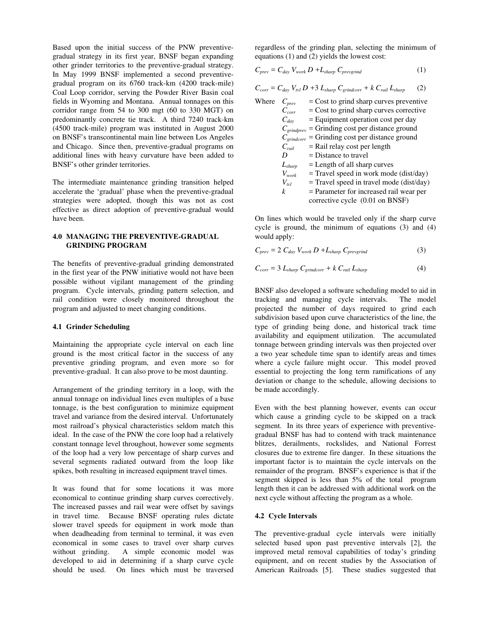Based upon the initial success of the PNW preventivegradual strategy in its first year, BNSF began expanding other grinder territories to the preventive-gradual strategy. In May 1999 BNSF implemented a second preventivegradual program on its 6760 track-km (4200 track-mile) Coal Loop corridor, serving the Powder River Basin coal fields in Wyoming and Montana. Annual tonnages on this corridor range from 54 to 300 mgt (60 to 330 MGT) on predominantly concrete tie track. A third 7240 track-km (4500 track-mile) program was instituted in August 2000 on BNSF's transcontinental main line between Los Angeles and Chicago. Since then, preventive-gradual programs on additional lines with heavy curvature have been added to BNSF's other grinder territories.

The intermediate maintenance grinding transition helped accelerate the 'gradual' phase when the preventive-gradual strategies were adopted, though this was not as cost effective as direct adoption of preventive-gradual would have been.

# **4.0 MANAGING THE PREVENTIVE-GRADUAL GRINDING PROGRAM**

The benefits of preventive-gradual grinding demonstrated in the first year of the PNW initiative would not have been possible without vigilant management of the grinding program. Cycle intervals, grinding pattern selection, and rail condition were closely monitored throughout the program and adjusted to meet changing conditions.

### **4.1 Grinder Scheduling**

Maintaining the appropriate cycle interval on each line ground is the most critical factor in the success of any preventive grinding program, and even more so for preventive-gradual. It can also prove to be most daunting.

Arrangement of the grinding territory in a loop, with the annual tonnage on individual lines even multiples of a base tonnage, is the best configuration to minimize equipment travel and variance from the desired interval. Unfortunately most railroad's physical characteristics seldom match this ideal. In the case of the PNW the core loop had a relatively constant tonnage level throughout, however some segments of the loop had a very low percentage of sharp curves and several segments radiated outward from the loop like spikes, both resulting in increased equipment travel times.

It was found that for some locations it was more economical to continue grinding sharp curves correctively. The increased passes and rail wear were offset by savings in travel time. Because BNSF operating rules dictate slower travel speeds for equipment in work mode than when deadheading from terminal to terminal, it was even economical in some cases to travel over sharp curves without grinding. A simple economic model was developed to aid in determining if a sharp curve cycle should be used. On lines which must be traversed regardless of the grinding plan, selecting the minimum of equations (1) and (2) yields the lowest cost:

$$
C_{prev} = C_{day} V_{work} D + L_{sharp} C_{prevgrind}
$$
 (1)

$$
C_{corr} = C_{day} V_{tvl} D + 3 L_{sharp} C_{grindcorr} + k C_{rail} L_{sharp}
$$
 (2)

| Where | $C_{prev}$        | $=$ Cost to grind sharp curves preventive                  |
|-------|-------------------|------------------------------------------------------------|
|       | $C_{corr}$        | $=$ Cost to grind sharp curves corrective                  |
|       | $C_{day}$         | $=$ Equipment operation cost per day                       |
|       | $C_{grindprev}$   | = Grinding cost per distance ground                        |
|       |                   | $C_{\text{grindcorr}}$ = Grinding cost per distance ground |
|       | $C_{\text{raid}}$ | $=$ Rail relay cost per length                             |
|       | D                 | $=$ Distance to travel                                     |
|       | $L_{sharp}$       | $=$ Length of all sharp curves                             |
|       | $V_{\it work}$    | $=$ Travel speed in work mode (dist/day)                   |
|       | $V_{\nu l}$       | $=$ Travel speed in travel mode (dist/day)                 |
|       | k                 | = Parameter for increased rail wear per                    |
|       |                   | corrective cycle (0.01 on BNSF)                            |

On lines which would be traveled only if the sharp curve cycle is ground, the minimum of equations (3) and (4) would apply:

$$
C_{prev} = 2 C_{day} V_{work} D + L_{sharp} C_{prevgrind}
$$
 (3)

$$
C_{corr} = 3 L_{sharp} C_{grindcorr} + k C_{tail} L_{sharp}
$$
 (4)

BNSF also developed a software scheduling model to aid in tracking and managing cycle intervals. The model projected the number of days required to grind each subdivision based upon curve characteristics of the line, the type of grinding being done, and historical track time availability and equipment utilization. The accumulated tonnage between grinding intervals was then projected over a two year schedule time span to identify areas and times where a cycle failure might occur. This model proved essential to projecting the long term ramifications of any deviation or change to the schedule, allowing decisions to be made accordingly.

Even with the best planning however, events can occur which cause a grinding cycle to be skipped on a track segment. In its three years of experience with preventivegradual BNSF has had to contend with track maintenance blitzes, derailments, rockslides, and National Forrest closures due to extreme fire danger. In these situations the important factor is to maintain the cycle intervals on the remainder of the program. BNSF's experience is that if the segment skipped is less than 5% of the total program length then it can be addressed with additional work on the next cycle without affecting the program as a whole.

## **4.2 Cycle Intervals**

The preventive-gradual cycle intervals were initially selected based upon past preventive intervals [2], the improved metal removal capabilities of today's grinding equipment, and on recent studies by the Association of American Railroads [5]. These studies suggested that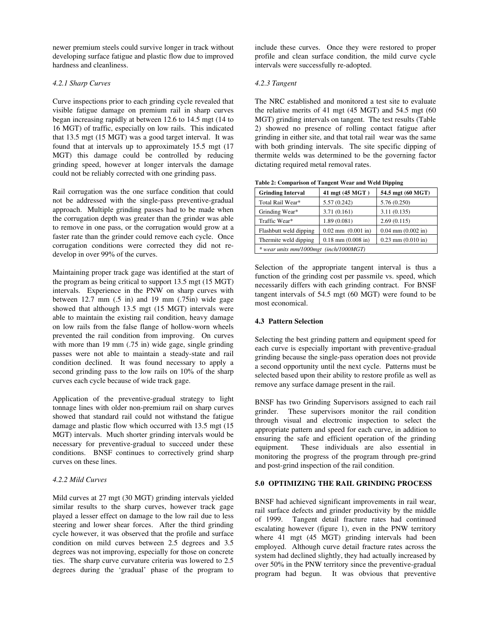newer premium steels could survive longer in track without developing surface fatigue and plastic flow due to improved hardness and cleanliness.

# *4.2.1 Sharp Curves*

Curve inspections prior to each grinding cycle revealed that visible fatigue damage on premium rail in sharp curves began increasing rapidly at between 12.6 to 14.5 mgt (14 to 16 MGT) of traffic, especially on low rails. This indicated that 13.5 mgt (15 MGT) was a good target interval. It was found that at intervals up to approximately 15.5 mgt (17 MGT) this damage could be controlled by reducing grinding speed, however at longer intervals the damage could not be reliably corrected with one grinding pass.

Rail corrugation was the one surface condition that could not be addressed with the single-pass preventive-gradual approach. Multiple grinding passes had to be made when the corrugation depth was greater than the grinder was able to remove in one pass, or the corrugation would grow at a faster rate than the grinder could remove each cycle. Once corrugation conditions were corrected they did not redevelop in over 99% of the curves.

Maintaining proper track gage was identified at the start of the program as being critical to support 13.5 mgt (15 MGT) intervals. Experience in the PNW on sharp curves with between  $12.7$  mm  $(.5 \text{ in})$  and  $19$  mm  $(.75 \text{ in})$  wide gage showed that although 13.5 mgt (15 MGT) intervals were able to maintain the existing rail condition, heavy damage on low rails from the false flange of hollow-worn wheels prevented the rail condition from improving. On curves with more than 19 mm (.75 in) wide gage, single grinding passes were not able to maintain a steady-state and rail condition declined. It was found necessary to apply a second grinding pass to the low rails on 10% of the sharp curves each cycle because of wide track gage.

Application of the preventive-gradual strategy to light tonnage lines with older non-premium rail on sharp curves showed that standard rail could not withstand the fatigue damage and plastic flow which occurred with 13.5 mgt (15 MGT) intervals. Much shorter grinding intervals would be necessary for preventive-gradual to succeed under these conditions. BNSF continues to correctively grind sharp curves on these lines.

# *4.2.2 Mild Curves*

Mild curves at 27 mgt (30 MGT) grinding intervals yielded similar results to the sharp curves, however track gage played a lesser effect on damage to the low rail due to less steering and lower shear forces. After the third grinding cycle however, it was observed that the profile and surface condition on mild curves between 2.5 degrees and 3.5 degrees was not improving, especially for those on concrete ties. The sharp curve curvature criteria was lowered to 2.5 degrees during the 'gradual' phase of the program to include these curves. Once they were restored to proper profile and clean surface condition, the mild curve cycle intervals were successfully re-adopted.

# *4.2.3 Tangent*

The NRC established and monitored a test site to evaluate the relative merits of 41 mgt (45 MGT) and 54.5 mgt (60 MGT) grinding intervals on tangent. The test results (Table 2) showed no presence of rolling contact fatigue after grinding in either site, and that total rail wear was the same with both grinding intervals. The site specific dipping of thermite welds was determined to be the governing factor dictating required metal removal rates.

| <b>Grinding Interval</b>               | 41 mgt (45 MGT)        | 54.5 mgt (60 MGT)      |  |
|----------------------------------------|------------------------|------------------------|--|
| Total Rail Wear*                       | 5.57(0.242)            | 5.76 (0.250)           |  |
| Grinding Wear*                         | 3.71(0.161)            | 3.11(0.135)            |  |
| Traffic Wear*                          | 1.89(0.081)            | 2.69(0.115)            |  |
| Flashbutt weld dipping                 | $0.02$ mm $(0.001$ in) | $0.04$ mm $(0.002$ in) |  |
| Thermite weld dipping                  | $0.18$ mm $(0.008$ in) | $0.23$ mm $(0.010$ in) |  |
| * wear units mm/1000mgt (inch/1000MGT) |                        |                        |  |

Selection of the appropriate tangent interval is thus a function of the grinding cost per passmile vs. speed, which necessarily differs with each grinding contract. For BNSF tangent intervals of 54.5 mgt (60 MGT) were found to be most economical.

# **4.3 Pattern Selection**

Selecting the best grinding pattern and equipment speed for each curve is especially important with preventive-gradual grinding because the single-pass operation does not provide a second opportunity until the next cycle. Patterns must be selected based upon their ability to restore profile as well as remove any surface damage present in the rail.

BNSF has two Grinding Supervisors assigned to each rail grinder. These supervisors monitor the rail condition through visual and electronic inspection to select the appropriate pattern and speed for each curve, in addition to ensuring the safe and efficient operation of the grinding equipment. These individuals are also essential in monitoring the progress of the program through pre-grind and post-grind inspection of the rail condition.

# **5.0 OPTIMIZING THE RAIL GRINDING PROCESS**

BNSF had achieved significant improvements in rail wear, rail surface defects and grinder productivity by the middle of 1999. Tangent detail fracture rates had continued escalating however (figure 1), even in the PNW territory where 41 mgt (45 MGT) grinding intervals had been employed. Although curve detail fracture rates across the system had declined slightly, they had actually increased by over 50% in the PNW territory since the preventive-gradual program had begun. It was obvious that preventive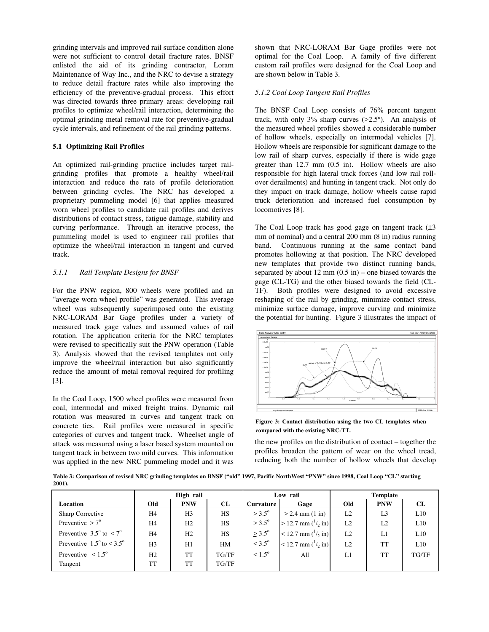grinding intervals and improved rail surface condition alone were not sufficient to control detail fracture rates. BNSF enlisted the aid of its grinding contractor, Loram Maintenance of Way Inc., and the NRC to devise a strategy to reduce detail fracture rates while also improving the efficiency of the preventive-gradual process. This effort was directed towards three primary areas: developing rail profiles to optimize wheel/rail interaction, determining the optimal grinding metal removal rate for preventive-gradual cycle intervals, and refinement of the rail grinding patterns.

# **5.1 Optimizing Rail Profiles**

An optimized rail-grinding practice includes target railgrinding profiles that promote a healthy wheel/rail interaction and reduce the rate of profile deterioration between grinding cycles. The NRC has developed a proprietary pummeling model [6] that applies measured worn wheel profiles to candidate rail profiles and derives distributions of contact stress, fatigue damage, stability and curving performance. Through an iterative process, the pummeling model is used to engineer rail profiles that optimize the wheel/rail interaction in tangent and curved track.

# *5.1.1 Rail Template Designs for BNSF*

For the PNW region, 800 wheels were profiled and an "average worn wheel profile" was generated. This average wheel was subsequently superimposed onto the existing NRC-LORAM Bar Gage profiles under a variety of measured track gage values and assumed values of rail rotation. The application criteria for the NRC templates were revised to specifically suit the PNW operation (Table 3). Analysis showed that the revised templates not only improve the wheel/rail interaction but also significantly reduce the amount of metal removal required for profiling [3].

In the Coal Loop, 1500 wheel profiles were measured from coal, intermodal and mixed freight trains. Dynamic rail rotation was measured in curves and tangent track on concrete ties. Rail profiles were measured in specific categories of curves and tangent track. Wheelset angle of attack was measured using a laser based system mounted on tangent track in between two mild curves. This information was applied in the new NRC pummeling model and it was shown that NRC-LORAM Bar Gage profiles were not optimal for the Coal Loop. A family of five different custom rail profiles were designed for the Coal Loop and are shown below in Table 3.

# *5.1.2 Coal Loop Tangent Rail Profiles*

The BNSF Coal Loop consists of 76% percent tangent track, with only  $3\%$  sharp curves  $(>2.5\degree)$ . An analysis of the measured wheel profiles showed a considerable number of hollow wheels, especially on intermodal vehicles [7]. Hollow wheels are responsible for significant damage to the low rail of sharp curves, especially if there is wide gage greater than  $12.7 \text{ mm}$  (0.5 in). Hollow wheels are also responsible for high lateral track forces (and low rail rollover derailments) and hunting in tangent track. Not only do they impact on track damage, hollow wheels cause rapid truck deterioration and increased fuel consumption by locomotives [8].

The Coal Loop track has good gage on tangent track  $(\pm 3)$ mm of nominal) and a central 200 mm (8 in) radius running band. Continuous running at the same contact band promotes hollowing at that position. The NRC developed new templates that provide two distinct running bands, separated by about  $12 \text{ mm}$   $(0.5 \text{ in})$  – one biased towards the gage (CL-TG) and the other biased towards the field (CL-TF). Both profiles were designed to avoid excessive reshaping of the rail by grinding, minimize contact stress, minimize surface damage, improve curving and minimize the potential for hunting. Figure 3 illustrates the impact of



**Figure 3: Contact distribution using the two CL templates when compared with the existing NRC-TT.** 

the new profiles on the distribution of contact – together the profiles broaden the pattern of wear on the wheel tread, reducing both the number of hollow wheels that develop

**Table 3: Comparison of revised NRC grinding templates on BNSF ("old" 1997, Pacific NorthWest "PNW" since 1998, Coal Loop "CL" starting 2001).** 

|                                             | High rail      |                | Low rail  |                    | <b>Template</b>              |     |                |       |
|---------------------------------------------|----------------|----------------|-----------|--------------------|------------------------------|-----|----------------|-------|
| Location                                    | Old            | <b>PNW</b>     | CL        | Curvature          | Gage                         | Old | <b>PNW</b>     | CL    |
| Sharp Corrective                            | H <sub>4</sub> | H <sub>3</sub> | <b>HS</b> | $> 3.5^{\circ}$    | $> 2.4$ mm $(1 \text{ in})$  | L2  | L <sub>3</sub> | L10   |
| Preventive $> 7^\circ$                      | H <sub>4</sub> | H2             | <b>HS</b> | $\geq 3.5^{\circ}$ | $> 12.7$ mm $(^1/2$ in)      | L2  | L2             | L10   |
| Preventive $3.5^{\circ}$ to $\lt 7^{\circ}$ | H <sub>4</sub> | H2             | <b>HS</b> | $> 3.5^{\circ}$    | $< 12.7$ mm $(^{1}_{2}$ in)  | L2  | L1             | L10   |
| Preventive $1.5^{\circ}$ to < 3.5°          | H <sub>3</sub> | H1             | HM        | $< 3.5^{\circ}$    | $< 12.7$ mm $(^{1}/_{2}$ in) | L2  | <b>TT</b>      | L10   |
| Preventive $\leq 1.5^{\circ}$               | H2             | TT             | TG/TF     | $< 1.5^{\circ}$    | All                          | L1  | TT             | TG/TF |
| Tangent                                     | TT             | TT             | TG/TF     |                    |                              |     |                |       |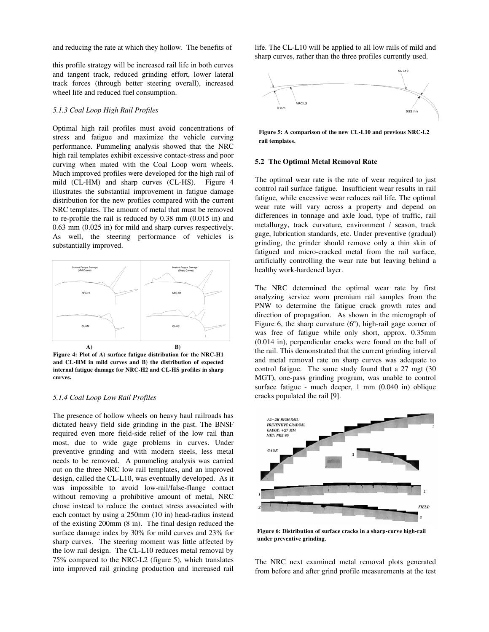and reducing the rate at which they hollow. The benefits of

this profile strategy will be increased rail life in both curves and tangent track, reduced grinding effort, lower lateral track forces (through better steering overall), increased wheel life and reduced fuel consumption.

### *5.1.3 Coal Loop High Rail Profiles*

Optimal high rail profiles must avoid concentrations of stress and fatigue and maximize the vehicle curving performance. Pummeling analysis showed that the NRC high rail templates exhibit excessive contact-stress and poor curving when mated with the Coal Loop worn wheels. Much improved profiles were developed for the high rail of mild (CL-HM) and sharp curves (CL-HS). Figure 4 illustrates the substantial improvement in fatigue damage distribution for the new profiles compared with the current NRC templates. The amount of metal that must be removed to re-profile the rail is reduced by 0.38 mm (0.015 in) and 0.63 mm (0.025 in) for mild and sharp curves respectively. As well, the steering performance of vehicles is substantially improved.



**Figure 4: Plot of A) surface fatigue distribution for the NRC-H1 and CL-HM in mild curves and B) the distribution of expected internal fatigue damage for NRC-H2 and CL-HS profiles in sharp curves.** 

#### *5.1.4 Coal Loop Low Rail Profiles*

The presence of hollow wheels on heavy haul railroads has dictated heavy field side grinding in the past. The BNSF required even more field-side relief of the low rail than most, due to wide gage problems in curves. Under preventive grinding and with modern steels, less metal needs to be removed. A pummeling analysis was carried out on the three NRC low rail templates, and an improved design, called the CL-L10, was eventually developed. As it was impossible to avoid low-rail/false-flange contact without removing a prohibitive amount of metal, NRC chose instead to reduce the contact stress associated with each contact by using a 250mm (10 in) head-radius instead of the existing 200mm (8 in). The final design reduced the surface damage index by 30% for mild curves and 23% for sharp curves. The steering moment was little affected by the low rail design. The CL-L10 reduces metal removal by 75% compared to the NRC-L2 (figure 5), which translates into improved rail grinding production and increased rail

life. The CL-L10 will be applied to all low rails of mild and sharp curves, rather than the three profiles currently used.



**Figure 5: A comparison of the new CL-L10 and previous NRC-L2 rail templates.** 

## **5.2 The Optimal Metal Removal Rate**

The optimal wear rate is the rate of wear required to just control rail surface fatigue. Insufficient wear results in rail fatigue, while excessive wear reduces rail life. The optimal wear rate will vary across a property and depend on differences in tonnage and axle load, type of traffic, rail metallurgy, track curvature, environment / season, track gage, lubrication standards, etc. Under preventive (gradual) grinding, the grinder should remove only a thin skin of fatigued and micro-cracked metal from the rail surface, artificially controlling the wear rate but leaving behind a healthy work-hardened layer.

The NRC determined the optimal wear rate by first analyzing service worn premium rail samples from the PNW to determine the fatigue crack growth rates and direction of propagation. As shown in the micrograph of Figure 6, the sharp curvature (6º), high-rail gage corner of was free of fatigue while only short, approx. 0.35mm (0.014 in), perpendicular cracks were found on the ball of the rail. This demonstrated that the current grinding interval and metal removal rate on sharp curves was adequate to control fatigue. The same study found that a 27 mgt (30 MGT), one-pass grinding program, was unable to control surface fatigue - much deeper, 1 mm (0.040 in) oblique cracks populated the rail [9].



**Figure 6: Distribution of surface cracks in a sharp-curve high-rail under preventive grinding.** 

The NRC next examined metal removal plots generated from before and after grind profile measurements at the test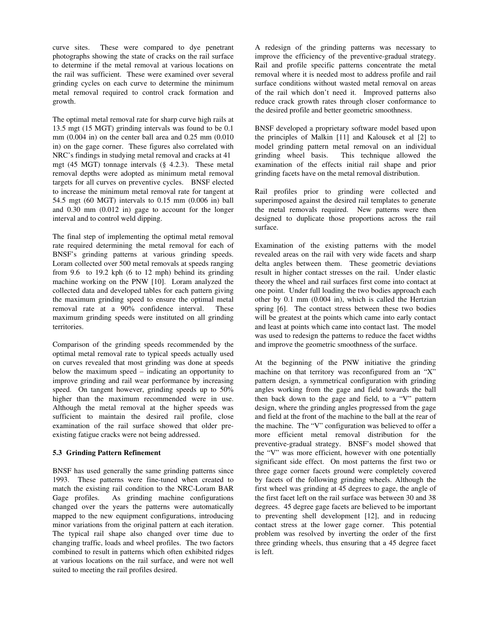curve sites. These were compared to dye penetrant photographs showing the state of cracks on the rail surface to determine if the metal removal at various locations on the rail was sufficient. These were examined over several grinding cycles on each curve to determine the minimum metal removal required to control crack formation and growth.

The optimal metal removal rate for sharp curve high rails at 13.5 mgt (15 MGT) grinding intervals was found to be 0.1 mm (0.004 in) on the center ball area and 0.25 mm (0.010 in) on the gage corner. These figures also correlated with NRC's findings in studying metal removal and cracks at 41 mgt (45 MGT) tonnage intervals (§ 4.2.3). These metal removal depths were adopted as minimum metal removal targets for all curves on preventive cycles. BNSF elected to increase the minimum metal removal rate for tangent at 54.5 mgt (60 MGT) intervals to 0.15 mm (0.006 in) ball and 0.30 mm (0.012 in) gage to account for the longer interval and to control weld dipping.

The final step of implementing the optimal metal removal rate required determining the metal removal for each of BNSF's grinding patterns at various grinding speeds. Loram collected over 500 metal removals at speeds ranging from 9.6 to 19.2 kph (6 to 12 mph) behind its grinding machine working on the PNW [10]. Loram analyzed the collected data and developed tables for each pattern giving the maximum grinding speed to ensure the optimal metal removal rate at a 90% confidence interval. These maximum grinding speeds were instituted on all grinding territories.

Comparison of the grinding speeds recommended by the optimal metal removal rate to typical speeds actually used on curves revealed that most grinding was done at speeds below the maximum speed – indicating an opportunity to improve grinding and rail wear performance by increasing speed. On tangent however, grinding speeds up to 50% higher than the maximum recommended were in use. Although the metal removal at the higher speeds was sufficient to maintain the desired rail profile, close examination of the rail surface showed that older preexisting fatigue cracks were not being addressed.

### **5.3 Grinding Pattern Refinement**

BNSF has used generally the same grinding patterns since 1993. These patterns were fine-tuned when created to match the existing rail condition to the NRC-Loram BAR Gage profiles. As grinding machine configurations changed over the years the patterns were automatically mapped to the new equipment configurations, introducing minor variations from the original pattern at each iteration. The typical rail shape also changed over time due to changing traffic, loads and wheel profiles. The two factors combined to result in patterns which often exhibited ridges at various locations on the rail surface, and were not well suited to meeting the rail profiles desired.

A redesign of the grinding patterns was necessary to improve the efficiency of the preventive-gradual strategy. Rail and profile specific patterns concentrate the metal removal where it is needed most to address profile and rail surface conditions without wasted metal removal on areas of the rail which don't need it. Improved patterns also reduce crack growth rates through closer conformance to the desired profile and better geometric smoothness.

BNSF developed a proprietary software model based upon the principles of Malkin [11] and Kalousek et al [2] to model grinding pattern metal removal on an individual grinding wheel basis. This technique allowed the This technique allowed the examination of the effects initial rail shape and prior grinding facets have on the metal removal distribution.

Rail profiles prior to grinding were collected and superimposed against the desired rail templates to generate the metal removals required. New patterns were then designed to duplicate those proportions across the rail surface.

Examination of the existing patterns with the model revealed areas on the rail with very wide facets and sharp delta angles between them. These geometric deviations result in higher contact stresses on the rail. Under elastic theory the wheel and rail surfaces first come into contact at one point. Under full loading the two bodies approach each other by 0.1 mm (0.004 in), which is called the Hertzian spring [6]. The contact stress between these two bodies will be greatest at the points which came into early contact and least at points which came into contact last. The model was used to redesign the patterns to reduce the facet widths and improve the geometric smoothness of the surface.

At the beginning of the PNW initiative the grinding machine on that territory was reconfigured from an "X" pattern design, a symmetrical configuration with grinding angles working from the gage and field towards the ball then back down to the gage and field, to a "V" pattern design, where the grinding angles progressed from the gage and field at the front of the machine to the ball at the rear of the machine. The "V" configuration was believed to offer a more efficient metal removal distribution for the preventive-gradual strategy. BNSF's model showed that the "V" was more efficient, however with one potentially significant side effect. On most patterns the first two or three gage corner facets ground were completely covered by facets of the following grinding wheels. Although the first wheel was grinding at 45 degrees to gage, the angle of the first facet left on the rail surface was between 30 and 38 degrees. 45 degree gage facets are believed to be important to preventing shell development [12], and in reducing contact stress at the lower gage corner. This potential problem was resolved by inverting the order of the first three grinding wheels, thus ensuring that a 45 degree facet is left.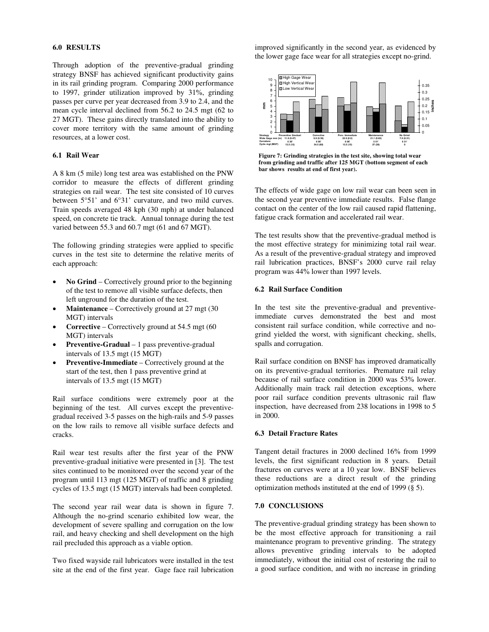## **6.0 RESULTS**

Through adoption of the preventive-gradual grinding strategy BNSF has achieved significant productivity gains in its rail grinding program. Comparing 2000 performance to 1997, grinder utilization improved by 31%, grinding passes per curve per year decreased from 3.9 to 2.4, and the mean cycle interval declined from 56.2 to 24.5 mgt (62 to 27 MGT). These gains directly translated into the ability to cover more territory with the same amount of grinding resources, at a lower cost.

## **6.1 Rail Wear**

A 8 km (5 mile) long test area was established on the PNW corridor to measure the effects of different grinding strategies on rail wear. The test site consisted of 10 curves between 5°51' and 6°31' curvature, and two mild curves. Train speeds averaged 48 kph (30 mph) at under balanced speed, on concrete tie track. Annual tonnage during the test varied between 55.3 and 60.7 mgt (61 and 67 MGT).

The following grinding strategies were applied to specific curves in the test site to determine the relative merits of each approach:

- **No Grind** Correctively ground prior to the beginning of the test to remove all visible surface defects, then left unground for the duration of the test.
- **Maintenance**  Correctively ground at 27 mgt (30 MGT) intervals
- **Corrective**  Correctively ground at 54.5 mgt (60 MGT) intervals
- **Preventive-Gradual** 1 pass preventive-gradual intervals of 13.5 mgt (15 MGT)
- **Preventive-Immediate** Correctively ground at the start of the test, then 1 pass preventive grind at intervals of 13.5 mgt (15 MGT)

Rail surface conditions were extremely poor at the beginning of the test. All curves except the preventivegradual received 3-5 passes on the high-rails and 5-9 passes on the low rails to remove all visible surface defects and cracks.

Rail wear test results after the first year of the PNW preventive-gradual initiative were presented in [3]. The test sites continued to be monitored over the second year of the program until 113 mgt (125 MGT) of traffic and 8 grinding cycles of 13.5 mgt (15 MGT) intervals had been completed.

The second year rail wear data is shown in figure 7. Although the no-grind scenario exhibited low wear, the development of severe spalling and corrugation on the low rail, and heavy checking and shell development on the high rail precluded this approach as a viable option.

Two fixed wayside rail lubricators were installed in the test site at the end of the first year. Gage face rail lubrication improved significantly in the second year, as evidenced by the lower gage face wear for all strategies except no-grind.



**Figure 7: Grinding strategies in the test site, showing total wear from grinding and traffic after 125 MGT (bottom segment of each bar shows results at end of first year).** 

The effects of wide gage on low rail wear can been seen in the second year preventive immediate results. False flange contact on the center of the low rail caused rapid flattening, fatigue crack formation and accelerated rail wear.

The test results show that the preventive-gradual method is the most effective strategy for minimizing total rail wear. As a result of the preventive-gradual strategy and improved rail lubrication practices, BNSF's 2000 curve rail relay program was 44% lower than 1997 levels.

# **6.2 Rail Surface Condition**

In the test site the preventive-gradual and preventiveimmediate curves demonstrated the best and most consistent rail surface condition, while corrective and nogrind yielded the worst, with significant checking, shells, spalls and corrugation.

Rail surface condition on BNSF has improved dramatically on its preventive-gradual territories. Premature rail relay because of rail surface condition in 2000 was 53% lower. Additionally main track rail detection exceptions, where poor rail surface condition prevents ultrasonic rail flaw inspection, have decreased from 238 locations in 1998 to 5 in 2000.

# **6.3 Detail Fracture Rates**

Tangent detail fractures in 2000 declined 16% from 1999 levels, the first significant reduction in 8 years. Detail fractures on curves were at a 10 year low. BNSF believes these reductions are a direct result of the grinding optimization methods instituted at the end of 1999 (§ 5).

## **7.0 CONCLUSIONS**

The preventive-gradual grinding strategy has been shown to be the most effective approach for transitioning a rail maintenance program to preventive grinding. The strategy allows preventive grinding intervals to be adopted immediately, without the initial cost of restoring the rail to a good surface condition, and with no increase in grinding